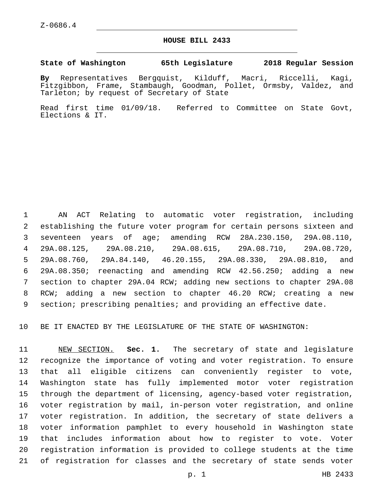## **HOUSE BILL 2433**

## **State of Washington 65th Legislature 2018 Regular Session**

**By** Representatives Bergquist, Kilduff, Macri, Riccelli, Kagi, Fitzgibbon, Frame, Stambaugh, Goodman, Pollet, Ormsby, Valdez, and Tarleton; by request of Secretary of State

Read first time 01/09/18. Referred to Committee on State Govt, Elections & IT.

 AN ACT Relating to automatic voter registration, including establishing the future voter program for certain persons sixteen and seventeen years of age; amending RCW 28A.230.150, 29A.08.110, 29A.08.125, 29A.08.210, 29A.08.615, 29A.08.710, 29A.08.720, 29A.08.760, 29A.84.140, 46.20.155, 29A.08.330, 29A.08.810, and 29A.08.350; reenacting and amending RCW 42.56.250; adding a new section to chapter 29A.04 RCW; adding new sections to chapter 29A.08 RCW; adding a new section to chapter 46.20 RCW; creating a new section; prescribing penalties; and providing an effective date.

BE IT ENACTED BY THE LEGISLATURE OF THE STATE OF WASHINGTON:

 NEW SECTION. **Sec. 1.** The secretary of state and legislature recognize the importance of voting and voter registration. To ensure that all eligible citizens can conveniently register to vote, Washington state has fully implemented motor voter registration through the department of licensing, agency-based voter registration, voter registration by mail, in-person voter registration, and online voter registration. In addition, the secretary of state delivers a voter information pamphlet to every household in Washington state that includes information about how to register to vote. Voter registration information is provided to college students at the time of registration for classes and the secretary of state sends voter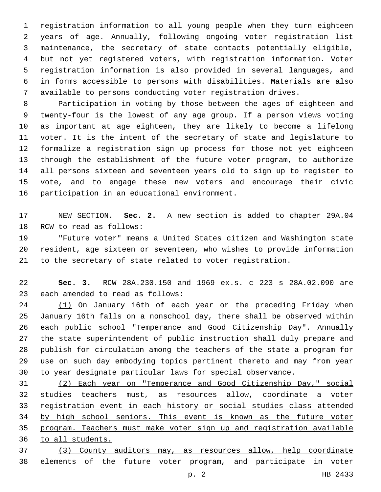registration information to all young people when they turn eighteen years of age. Annually, following ongoing voter registration list maintenance, the secretary of state contacts potentially eligible, but not yet registered voters, with registration information. Voter registration information is also provided in several languages, and in forms accessible to persons with disabilities. Materials are also available to persons conducting voter registration drives.

 Participation in voting by those between the ages of eighteen and twenty-four is the lowest of any age group. If a person views voting as important at age eighteen, they are likely to become a lifelong voter. It is the intent of the secretary of state and legislature to formalize a registration sign up process for those not yet eighteen through the establishment of the future voter program, to authorize all persons sixteen and seventeen years old to sign up to register to vote, and to engage these new voters and encourage their civic 16 participation in an educational environment.

 NEW SECTION. **Sec. 2.** A new section is added to chapter 29A.04 18 RCW to read as follows:

 "Future voter" means a United States citizen and Washington state resident, age sixteen or seventeen, who wishes to provide information to the secretary of state related to voter registration.

 **Sec. 3.** RCW 28A.230.150 and 1969 ex.s. c 223 s 28A.02.090 are 23 each amended to read as follows:

 (1) On January 16th of each year or the preceding Friday when January 16th falls on a nonschool day, there shall be observed within each public school "Temperance and Good Citizenship Day". Annually the state superintendent of public instruction shall duly prepare and publish for circulation among the teachers of the state a program for use on such day embodying topics pertinent thereto and may from year to year designate particular laws for special observance.

 (2) Each year on "Temperance and Good Citizenship Day," social studies teachers must, as resources allow, coordinate a voter registration event in each history or social studies class attended by high school seniors. This event is known as the future voter program. Teachers must make voter sign up and registration available to all students.

 (3) County auditors may, as resources allow, help coordinate elements of the future voter program, and participate in voter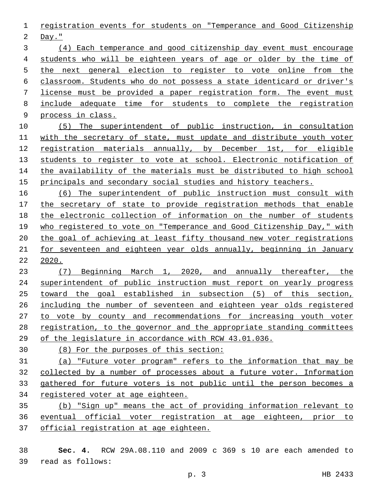registration events for students on "Temperance and Good Citizenship

Day."

 (4) Each temperance and good citizenship day event must encourage students who will be eighteen years of age or older by the time of the next general election to register to vote online from the classroom. Students who do not possess a state identicard or driver's license must be provided a paper registration form. The event must include adequate time for students to complete the registration process in class.

 (5) The superintendent of public instruction, in consultation with the secretary of state, must update and distribute youth voter registration materials annually, by December 1st, for eligible students to register to vote at school. Electronic notification of 14 the availability of the materials must be distributed to high school principals and secondary social studies and history teachers.

 (6) The superintendent of public instruction must consult with the secretary of state to provide registration methods that enable the electronic collection of information on the number of students who registered to vote on "Temperance and Good Citizenship Day," with the goal of achieving at least fifty thousand new voter registrations for seventeen and eighteen year olds annually, beginning in January 2020.

 (7) Beginning March 1, 2020, and annually thereafter, the 24 superintendent of public instruction must report on yearly progress toward the goal established in subsection (5) of this section, including the number of seventeen and eighteen year olds registered to vote by county and recommendations for increasing youth voter registration, to the governor and the appropriate standing committees of the legislature in accordance with RCW 43.01.036.

(8) For the purposes of this section:

 (a) "Future voter program" refers to the information that may be collected by a number of processes about a future voter. Information gathered for future voters is not public until the person becomes a registered voter at age eighteen.

 (b) "Sign up" means the act of providing information relevant to eventual official voter registration at age eighteen, prior to official registration at age eighteen.

 **Sec. 4.** RCW 29A.08.110 and 2009 c 369 s 10 are each amended to read as follows:39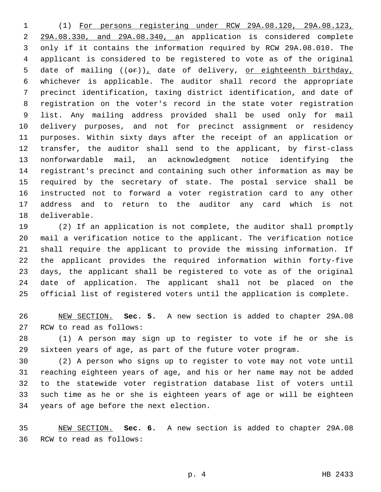(1) For persons registering under RCW 29A.08.120, 29A.08.123, 29A.08.330, and 29A.08.340, an application is considered complete only if it contains the information required by RCW 29A.08.010. The applicant is considered to be registered to vote as of the original 5 date of mailing  $((\theta \hat{r}))_+$  date of delivery, or eighteenth birthday, whichever is applicable. The auditor shall record the appropriate precinct identification, taxing district identification, and date of registration on the voter's record in the state voter registration list. Any mailing address provided shall be used only for mail delivery purposes, and not for precinct assignment or residency purposes. Within sixty days after the receipt of an application or transfer, the auditor shall send to the applicant, by first-class nonforwardable mail, an acknowledgment notice identifying the registrant's precinct and containing such other information as may be required by the secretary of state. The postal service shall be instructed not to forward a voter registration card to any other address and to return to the auditor any card which is not 18 deliverable.

 (2) If an application is not complete, the auditor shall promptly mail a verification notice to the applicant. The verification notice shall require the applicant to provide the missing information. If the applicant provides the required information within forty-five days, the applicant shall be registered to vote as of the original date of application. The applicant shall not be placed on the official list of registered voters until the application is complete.

 NEW SECTION. **Sec. 5.** A new section is added to chapter 29A.08 27 RCW to read as follows:

 (1) A person may sign up to register to vote if he or she is sixteen years of age, as part of the future voter program.

 (2) A person who signs up to register to vote may not vote until reaching eighteen years of age, and his or her name may not be added to the statewide voter registration database list of voters until such time as he or she is eighteen years of age or will be eighteen 34 years of age before the next election.

 NEW SECTION. **Sec. 6.** A new section is added to chapter 29A.08 36 RCW to read as follows: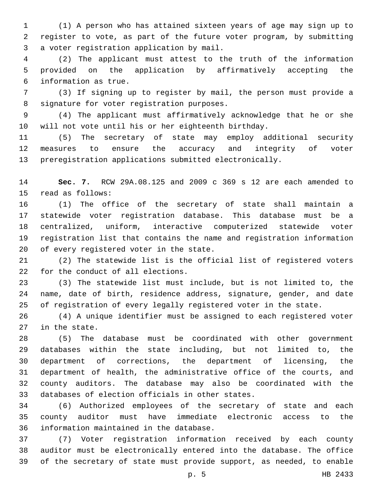(1) A person who has attained sixteen years of age may sign up to register to vote, as part of the future voter program, by submitting 3 a voter registration application by mail.

 (2) The applicant must attest to the truth of the information provided on the application by affirmatively accepting the 6 information as true.

 (3) If signing up to register by mail, the person must provide a 8 signature for voter registration purposes.

 (4) The applicant must affirmatively acknowledge that he or she will not vote until his or her eighteenth birthday.

 (5) The secretary of state may employ additional security measures to ensure the accuracy and integrity of voter preregistration applications submitted electronically.

 **Sec. 7.** RCW 29A.08.125 and 2009 c 369 s 12 are each amended to 15 read as follows:

 (1) The office of the secretary of state shall maintain a statewide voter registration database. This database must be a centralized, uniform, interactive computerized statewide voter registration list that contains the name and registration information 20 of every registered voter in the state.

 (2) The statewide list is the official list of registered voters 22 for the conduct of all elections.

 (3) The statewide list must include, but is not limited to, the name, date of birth, residence address, signature, gender, and date of registration of every legally registered voter in the state.

 (4) A unique identifier must be assigned to each registered voter 27 in the state.

 (5) The database must be coordinated with other government databases within the state including, but not limited to, the department of corrections, the department of licensing, the department of health, the administrative office of the courts, and county auditors. The database may also be coordinated with the 33 databases of election officials in other states.

 (6) Authorized employees of the secretary of state and each county auditor must have immediate electronic access to the 36 information maintained in the database.

 (7) Voter registration information received by each county auditor must be electronically entered into the database. The office of the secretary of state must provide support, as needed, to enable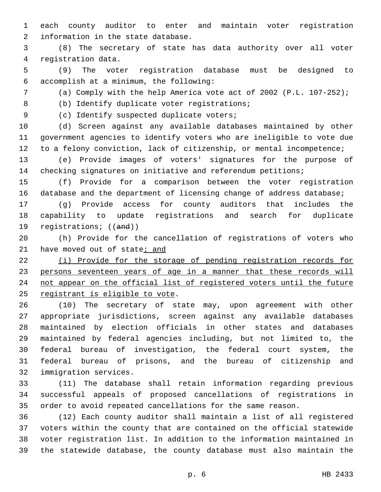each county auditor to enter and maintain voter registration 2 information in the state database.

 (8) The secretary of state has data authority over all voter 4 registration data.

 (9) The voter registration database must be designed to accomplish at a minimum, the following:6

(a) Comply with the help America vote act of 2002 (P.L. 107-252);

8 (b) Identify duplicate voter registrations;

9 (c) Identify suspected duplicate voters;

 (d) Screen against any available databases maintained by other government agencies to identify voters who are ineligible to vote due to a felony conviction, lack of citizenship, or mental incompetence;

 (e) Provide images of voters' signatures for the purpose of checking signatures on initiative and referendum petitions;

 (f) Provide for a comparison between the voter registration database and the department of licensing change of address database;

 (g) Provide access for county auditors that includes the capability to update registrations and search for duplicate 19 registrations; ((and))

 (h) Provide for the cancellation of registrations of voters who 21 have moved out of state; and

 (i) Provide for the storage of pending registration records for 23 persons seventeen years of age in a manner that these records will not appear on the official list of registered voters until the future 25 registrant is eligible to vote.

 (10) The secretary of state may, upon agreement with other appropriate jurisdictions, screen against any available databases maintained by election officials in other states and databases maintained by federal agencies including, but not limited to, the federal bureau of investigation, the federal court system, the federal bureau of prisons, and the bureau of citizenship and 32 immigration services.

 (11) The database shall retain information regarding previous successful appeals of proposed cancellations of registrations in order to avoid repeated cancellations for the same reason.

 (12) Each county auditor shall maintain a list of all registered voters within the county that are contained on the official statewide voter registration list. In addition to the information maintained in the statewide database, the county database must also maintain the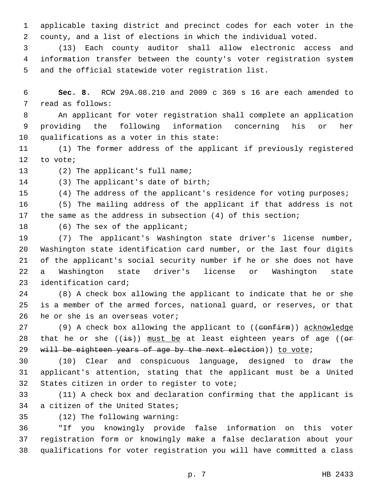1 applicable taxing district and precinct codes for each voter in the 2 county, and a list of elections in which the individual voted.

3 (13) Each county auditor shall allow electronic access and 4 information transfer between the county's voter registration system 5 and the official statewide voter registration list.

6 **Sec. 8.** RCW 29A.08.210 and 2009 c 369 s 16 are each amended to 7 read as follows:

8 An applicant for voter registration shall complete an application 9 providing the following information concerning his or her 10 qualifications as a voter in this state:

11 (1) The former address of the applicant if previously registered 12 to vote;

13 (2) The applicant's full name;

14 (3) The applicant's date of birth;

15 (4) The address of the applicant's residence for voting purposes;

16 (5) The mailing address of the applicant if that address is not 17 the same as the address in subsection (4) of this section;

18 (6) The sex of the applicant;

 (7) The applicant's Washington state driver's license number, Washington state identification card number, or the last four digits of the applicant's social security number if he or she does not have a Washington state driver's license or Washington state 23 identification card;

24 (8) A check box allowing the applicant to indicate that he or she 25 is a member of the armed forces, national guard, or reserves, or that 26 he or she is an overseas voter;

27 (9) A check box allowing the applicant to ((confirm)) acknowledge 28 that he or she  $((\frac{1}{2}B))$  must be at least eighteen years of age  $((\Theta \cdot F)^{-1})$ 29 will be eighteen years of age by the next election)) to vote;

30 (10) Clear and conspicuous language, designed to draw the 31 applicant's attention, stating that the applicant must be a United 32 States citizen in order to register to vote;

33 (11) A check box and declaration confirming that the applicant is 34 a citizen of the United States;

(12) The following warning:35

36 "If you knowingly provide false information on this voter 37 registration form or knowingly make a false declaration about your 38 qualifications for voter registration you will have committed a class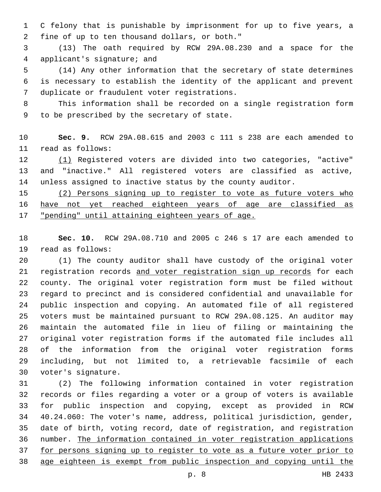C felony that is punishable by imprisonment for up to five years, a fine of up to ten thousand dollars, or both."2

 (13) The oath required by RCW 29A.08.230 and a space for the 4 applicant's signature; and

 (14) Any other information that the secretary of state determines is necessary to establish the identity of the applicant and prevent 7 duplicate or fraudulent voter registrations.

 This information shall be recorded on a single registration form 9 to be prescribed by the secretary of state.

 **Sec. 9.** RCW 29A.08.615 and 2003 c 111 s 238 are each amended to read as follows:11

 (1) Registered voters are divided into two categories, "active" and "inactive." All registered voters are classified as active, unless assigned to inactive status by the county auditor.

 (2) Persons signing up to register to vote as future voters who have not yet reached eighteen years of age are classified as "pending" until attaining eighteen years of age.

 **Sec. 10.** RCW 29A.08.710 and 2005 c 246 s 17 are each amended to 19 read as follows:

 (1) The county auditor shall have custody of the original voter 21 registration records and voter registration sign up records for each county. The original voter registration form must be filed without regard to precinct and is considered confidential and unavailable for public inspection and copying. An automated file of all registered voters must be maintained pursuant to RCW 29A.08.125. An auditor may maintain the automated file in lieu of filing or maintaining the original voter registration forms if the automated file includes all of the information from the original voter registration forms including, but not limited to, a retrievable facsimile of each 30 voter's signature.

 (2) The following information contained in voter registration records or files regarding a voter or a group of voters is available for public inspection and copying, except as provided in RCW 40.24.060: The voter's name, address, political jurisdiction, gender, date of birth, voting record, date of registration, and registration number. The information contained in voter registration applications for persons signing up to register to vote as a future voter prior to age eighteen is exempt from public inspection and copying until the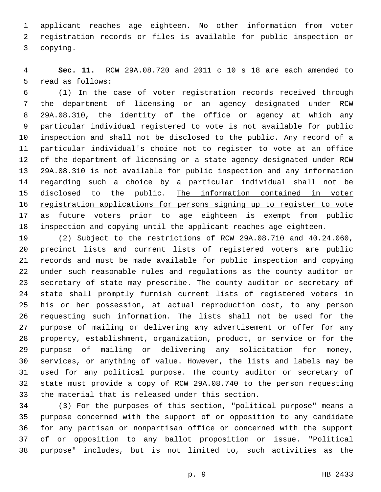applicant reaches age eighteen. No other information from voter registration records or files is available for public inspection or 3 copying.

 **Sec. 11.** RCW 29A.08.720 and 2011 c 10 s 18 are each amended to 5 read as follows:

 (1) In the case of voter registration records received through the department of licensing or an agency designated under RCW 29A.08.310, the identity of the office or agency at which any particular individual registered to vote is not available for public inspection and shall not be disclosed to the public. Any record of a particular individual's choice not to register to vote at an office of the department of licensing or a state agency designated under RCW 29A.08.310 is not available for public inspection and any information regarding such a choice by a particular individual shall not be 15 disclosed to the public. The information contained in voter registration applications for persons signing up to register to vote 17 as future voters prior to age eighteen is exempt from public 18 inspection and copying until the applicant reaches age eighteen.

 (2) Subject to the restrictions of RCW 29A.08.710 and 40.24.060, precinct lists and current lists of registered voters are public records and must be made available for public inspection and copying under such reasonable rules and regulations as the county auditor or secretary of state may prescribe. The county auditor or secretary of state shall promptly furnish current lists of registered voters in his or her possession, at actual reproduction cost, to any person requesting such information. The lists shall not be used for the purpose of mailing or delivering any advertisement or offer for any property, establishment, organization, product, or service or for the purpose of mailing or delivering any solicitation for money, services, or anything of value. However, the lists and labels may be used for any political purpose. The county auditor or secretary of state must provide a copy of RCW 29A.08.740 to the person requesting 33 the material that is released under this section.

 (3) For the purposes of this section, "political purpose" means a purpose concerned with the support of or opposition to any candidate for any partisan or nonpartisan office or concerned with the support of or opposition to any ballot proposition or issue. "Political purpose" includes, but is not limited to, such activities as the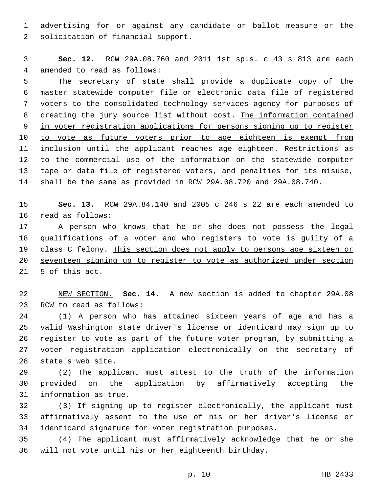advertising for or against any candidate or ballot measure or the 2 solicitation of financial support.

 **Sec. 12.** RCW 29A.08.760 and 2011 1st sp.s. c 43 s 813 are each 4 amended to read as follows:

 The secretary of state shall provide a duplicate copy of the master statewide computer file or electronic data file of registered voters to the consolidated technology services agency for purposes of creating the jury source list without cost. The information contained in voter registration applications for persons signing up to register 10 to vote as future voters prior to age eighteen is exempt from 11 inclusion until the applicant reaches age eighteen. Restrictions as to the commercial use of the information on the statewide computer tape or data file of registered voters, and penalties for its misuse, shall be the same as provided in RCW 29A.08.720 and 29A.08.740.

 **Sec. 13.** RCW 29A.84.140 and 2005 c 246 s 22 are each amended to 16 read as follows:

 A person who knows that he or she does not possess the legal qualifications of a voter and who registers to vote is guilty of a class C felony. This section does not apply to persons age sixteen or seventeen signing up to register to vote as authorized under section 21 5 of this act.

 NEW SECTION. **Sec. 14.** A new section is added to chapter 29A.08 23 RCW to read as follows:

 (1) A person who has attained sixteen years of age and has a valid Washington state driver's license or identicard may sign up to register to vote as part of the future voter program, by submitting a voter registration application electronically on the secretary of 28 state's web site.

 (2) The applicant must attest to the truth of the information provided on the application by affirmatively accepting the 31 information as true.

 (3) If signing up to register electronically, the applicant must affirmatively assent to the use of his or her driver's license or identicard signature for voter registration purposes.

 (4) The applicant must affirmatively acknowledge that he or she will not vote until his or her eighteenth birthday.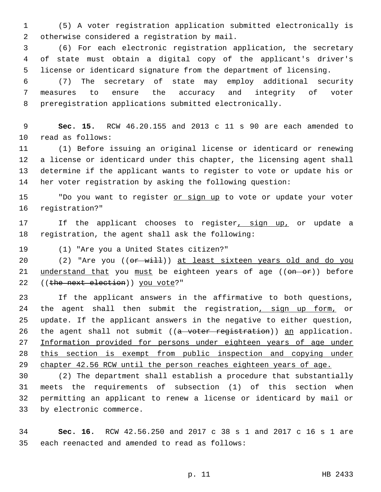1 (5) A voter registration application submitted electronically is otherwise considered a registration by mail.2

3 (6) For each electronic registration application, the secretary 4 of state must obtain a digital copy of the applicant's driver's 5 license or identicard signature from the department of licensing.

6 (7) The secretary of state may employ additional security 7 measures to ensure the accuracy and integrity of voter 8 preregistration applications submitted electronically.

9 **Sec. 15.** RCW 46.20.155 and 2013 c 11 s 90 are each amended to 10 read as follows:

 (1) Before issuing an original license or identicard or renewing a license or identicard under this chapter, the licensing agent shall determine if the applicant wants to register to vote or update his or her voter registration by asking the following question:

15 "Do you want to register or sign up to vote or update your voter 16 registration?"

17 If the applicant chooses to register, sign up, or update a 18 registration, the agent shall ask the following:

19 (1) "Are you a United States citizen?"

20 (2) "Are you ((or will)) at least sixteen years old and do you 21 understand that you must be eighteen years of age ((on or)) before 22 ((the next election)) you vote?"

23 If the applicant answers in the affirmative to both questions, 24 the agent shall then submit the registration, sign up form, or 25 update. If the applicant answers in the negative to either question, 26 the agent shall not submit ((a voter registration)) an application. 27 Information provided for persons under eighteen years of age under 28 this section is exempt from public inspection and copying under 29 chapter 42.56 RCW until the person reaches eighteen years of age.

 (2) The department shall establish a procedure that substantially meets the requirements of subsection (1) of this section when permitting an applicant to renew a license or identicard by mail or 33 by electronic commerce.

34 **Sec. 16.** RCW 42.56.250 and 2017 c 38 s 1 and 2017 c 16 s 1 are 35 each reenacted and amended to read as follows: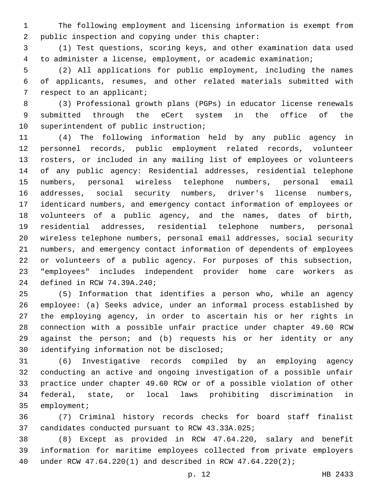The following employment and licensing information is exempt from 2 public inspection and copying under this chapter:

 (1) Test questions, scoring keys, and other examination data used to administer a license, employment, or academic examination;

 (2) All applications for public employment, including the names of applicants, resumes, and other related materials submitted with 7 respect to an applicant;

 (3) Professional growth plans (PGPs) in educator license renewals submitted through the eCert system in the office of the 10 superintendent of public instruction;

 (4) The following information held by any public agency in personnel records, public employment related records, volunteer rosters, or included in any mailing list of employees or volunteers of any public agency: Residential addresses, residential telephone numbers, personal wireless telephone numbers, personal email addresses, social security numbers, driver's license numbers, identicard numbers, and emergency contact information of employees or volunteers of a public agency, and the names, dates of birth, residential addresses, residential telephone numbers, personal wireless telephone numbers, personal email addresses, social security numbers, and emergency contact information of dependents of employees or volunteers of a public agency. For purposes of this subsection, "employees" includes independent provider home care workers as 24 defined in RCW 74.39A.240;

 (5) Information that identifies a person who, while an agency employee: (a) Seeks advice, under an informal process established by the employing agency, in order to ascertain his or her rights in connection with a possible unfair practice under chapter 49.60 RCW against the person; and (b) requests his or her identity or any 30 identifying information not be disclosed;

 (6) Investigative records compiled by an employing agency conducting an active and ongoing investigation of a possible unfair practice under chapter 49.60 RCW or of a possible violation of other federal, state, or local laws prohibiting discrimination in 35 employment;

 (7) Criminal history records checks for board staff finalist 37 candidates conducted pursuant to RCW 43.33A.025;

 (8) Except as provided in RCW 47.64.220, salary and benefit information for maritime employees collected from private employers under RCW 47.64.220(1) and described in RCW 47.64.220(2);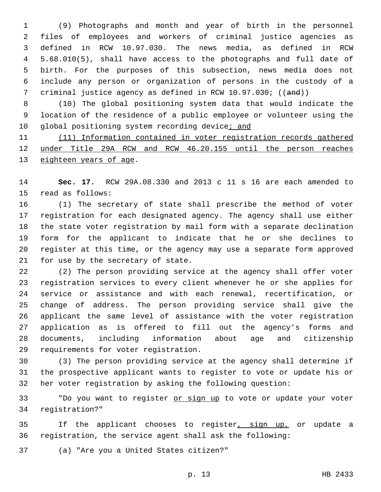(9) Photographs and month and year of birth in the personnel files of employees and workers of criminal justice agencies as defined in RCW 10.97.030. The news media, as defined in RCW 5.68.010(5), shall have access to the photographs and full date of birth. For the purposes of this subsection, news media does not include any person or organization of persons in the custody of a 7 criminal justice agency as defined in RCW 10.97.030; ((and))

 (10) The global positioning system data that would indicate the location of the residence of a public employee or volunteer using the 10 global positioning system recording device; and

 (11) Information contained in voter registration records gathered under Title 29A RCW and RCW 46.20.155 until the person reaches 13 eighteen years of age.

 **Sec. 17.** RCW 29A.08.330 and 2013 c 11 s 16 are each amended to 15 read as follows:

 (1) The secretary of state shall prescribe the method of voter registration for each designated agency. The agency shall use either the state voter registration by mail form with a separate declination form for the applicant to indicate that he or she declines to register at this time, or the agency may use a separate form approved 21 for use by the secretary of state.

 (2) The person providing service at the agency shall offer voter registration services to every client whenever he or she applies for service or assistance and with each renewal, recertification, or change of address. The person providing service shall give the applicant the same level of assistance with the voter registration application as is offered to fill out the agency's forms and documents, including information about age and citizenship 29 requirements for voter registration.

 (3) The person providing service at the agency shall determine if the prospective applicant wants to register to vote or update his or her voter registration by asking the following question:

33 "Do you want to register or sign up to vote or update your voter registration?"34

35 If the applicant chooses to register, sign up, or update a registration, the service agent shall ask the following:

(a) "Are you a United States citizen?"37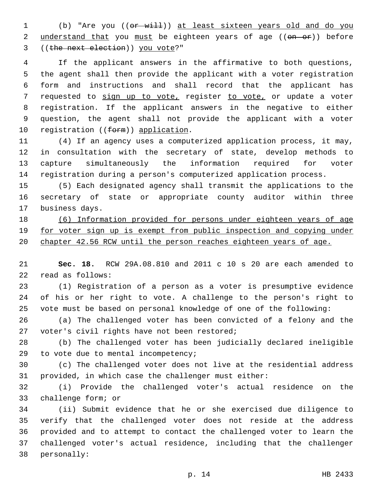1 (b) "Are you (( $e$ **r** will)) at least sixteen years old and do you 2 understand that you must be eighteen years of age ((on or)) before 3 ((the next election)) you vote?"

 If the applicant answers in the affirmative to both questions, the agent shall then provide the applicant with a voter registration form and instructions and shall record that the applicant has 7 requested to sign up to vote, register to vote, or update a voter registration. If the applicant answers in the negative to either question, the agent shall not provide the applicant with a voter 10 registration ((form)) application.

 (4) If an agency uses a computerized application process, it may, in consultation with the secretary of state, develop methods to capture simultaneously the information required for voter registration during a person's computerized application process.

 (5) Each designated agency shall transmit the applications to the secretary of state or appropriate county auditor within three 17 business days.

 (6) Information provided for persons under eighteen years of age 19 for voter sign up is exempt from public inspection and copying under chapter 42.56 RCW until the person reaches eighteen years of age.

 **Sec. 18.** RCW 29A.08.810 and 2011 c 10 s 20 are each amended to 22 read as follows:

 (1) Registration of a person as a voter is presumptive evidence of his or her right to vote. A challenge to the person's right to vote must be based on personal knowledge of one of the following:

 (a) The challenged voter has been convicted of a felony and the 27 voter's civil rights have not been restored;

 (b) The challenged voter has been judicially declared ineligible 29 to vote due to mental incompetency;

 (c) The challenged voter does not live at the residential address provided, in which case the challenger must either:

 (i) Provide the challenged voter's actual residence on the 33 challenge form; or

 (ii) Submit evidence that he or she exercised due diligence to verify that the challenged voter does not reside at the address provided and to attempt to contact the challenged voter to learn the challenged voter's actual residence, including that the challenger 38 personally: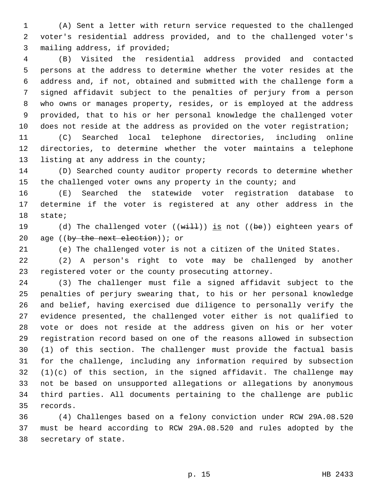(A) Sent a letter with return service requested to the challenged voter's residential address provided, and to the challenged voter's 3 mailing address, if provided;

 (B) Visited the residential address provided and contacted persons at the address to determine whether the voter resides at the address and, if not, obtained and submitted with the challenge form a signed affidavit subject to the penalties of perjury from a person who owns or manages property, resides, or is employed at the address provided, that to his or her personal knowledge the challenged voter 10 does not reside at the address as provided on the voter registration;

 (C) Searched local telephone directories, including online directories, to determine whether the voter maintains a telephone 13 listing at any address in the county;

 (D) Searched county auditor property records to determine whether 15 the challenged voter owns any property in the county; and

 (E) Searched the statewide voter registration database to determine if the voter is registered at any other address in the 18 state;

19 (d) The challenged voter  $((with 1)$  is not  $((be))$  eighteen years of 20 age ((by the next election)); or

(e) The challenged voter is not a citizen of the United States.

 (2) A person's right to vote may be challenged by another registered voter or the county prosecuting attorney.

 (3) The challenger must file a signed affidavit subject to the penalties of perjury swearing that, to his or her personal knowledge and belief, having exercised due diligence to personally verify the evidence presented, the challenged voter either is not qualified to vote or does not reside at the address given on his or her voter registration record based on one of the reasons allowed in subsection (1) of this section. The challenger must provide the factual basis for the challenge, including any information required by subsection (1)(c) of this section, in the signed affidavit. The challenge may not be based on unsupported allegations or allegations by anonymous third parties. All documents pertaining to the challenge are public 35 records.

 (4) Challenges based on a felony conviction under RCW 29A.08.520 must be heard according to RCW 29A.08.520 and rules adopted by the 38 secretary of state.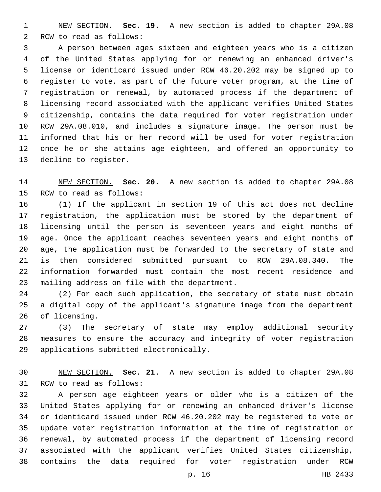NEW SECTION. **Sec. 19.** A new section is added to chapter 29A.08 2 RCW to read as follows:

 A person between ages sixteen and eighteen years who is a citizen of the United States applying for or renewing an enhanced driver's license or identicard issued under RCW 46.20.202 may be signed up to register to vote, as part of the future voter program, at the time of registration or renewal, by automated process if the department of licensing record associated with the applicant verifies United States citizenship, contains the data required for voter registration under RCW 29A.08.010, and includes a signature image. The person must be informed that his or her record will be used for voter registration once he or she attains age eighteen, and offered an opportunity to 13 decline to register.

 NEW SECTION. **Sec. 20.** A new section is added to chapter 29A.08 15 RCW to read as follows:

 (1) If the applicant in section 19 of this act does not decline registration, the application must be stored by the department of licensing until the person is seventeen years and eight months of age. Once the applicant reaches seventeen years and eight months of age, the application must be forwarded to the secretary of state and is then considered submitted pursuant to RCW 29A.08.340. The information forwarded must contain the most recent residence and 23 mailing address on file with the department.

 (2) For each such application, the secretary of state must obtain a digital copy of the applicant's signature image from the department 26 of licensing.

 (3) The secretary of state may employ additional security measures to ensure the accuracy and integrity of voter registration applications submitted electronically.29

 NEW SECTION. **Sec. 21.** A new section is added to chapter 29A.08 31 RCW to read as follows:

 A person age eighteen years or older who is a citizen of the United States applying for or renewing an enhanced driver's license or identicard issued under RCW 46.20.202 may be registered to vote or update voter registration information at the time of registration or renewal, by automated process if the department of licensing record associated with the applicant verifies United States citizenship, contains the data required for voter registration under RCW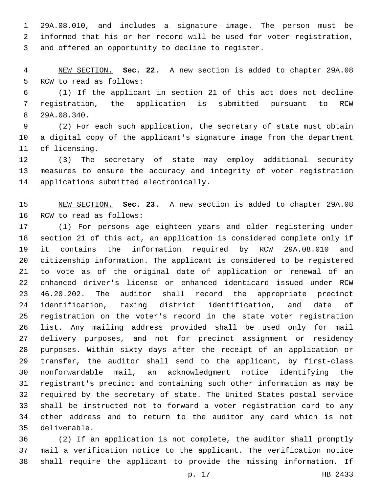29A.08.010, and includes a signature image. The person must be informed that his or her record will be used for voter registration, 3 and offered an opportunity to decline to register.

 NEW SECTION. **Sec. 22.** A new section is added to chapter 29A.08 5 RCW to read as follows:

 (1) If the applicant in section 21 of this act does not decline registration, the application is submitted pursuant to RCW 29A.08.340.8

 (2) For each such application, the secretary of state must obtain a digital copy of the applicant's signature image from the department 11 of licensing.

 (3) The secretary of state may employ additional security measures to ensure the accuracy and integrity of voter registration 14 applications submitted electronically.

 NEW SECTION. **Sec. 23.** A new section is added to chapter 29A.08 16 RCW to read as follows:

 (1) For persons age eighteen years and older registering under section 21 of this act, an application is considered complete only if it contains the information required by RCW 29A.08.010 and citizenship information. The applicant is considered to be registered to vote as of the original date of application or renewal of an enhanced driver's license or enhanced identicard issued under RCW 46.20.202. The auditor shall record the appropriate precinct identification, taxing district identification, and date of registration on the voter's record in the state voter registration list. Any mailing address provided shall be used only for mail delivery purposes, and not for precinct assignment or residency purposes. Within sixty days after the receipt of an application or transfer, the auditor shall send to the applicant, by first-class nonforwardable mail, an acknowledgment notice identifying the registrant's precinct and containing such other information as may be required by the secretary of state. The United States postal service shall be instructed not to forward a voter registration card to any other address and to return to the auditor any card which is not deliverable.35

 (2) If an application is not complete, the auditor shall promptly mail a verification notice to the applicant. The verification notice shall require the applicant to provide the missing information. If